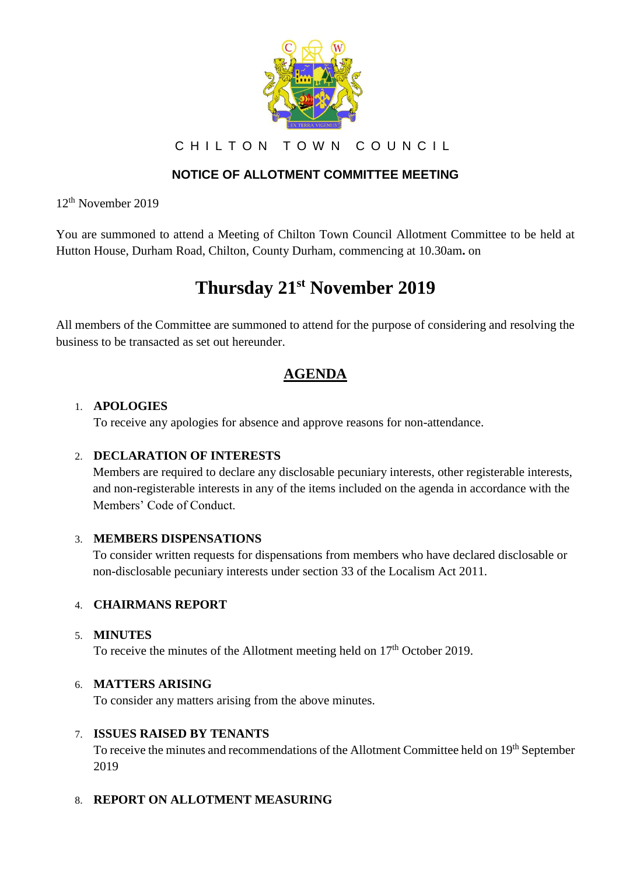

CHILTON TOWN COUNCIL

## **NOTICE OF ALLOTMENT COMMITTEE MEETING**

12th November 2019

You are summoned to attend a Meeting of Chilton Town Council Allotment Committee to be held at Hutton House, Durham Road, Chilton, County Durham, commencing at 10.30am**.** on

# **Thursday 21st November 2019**

All members of the Committee are summoned to attend for the purpose of considering and resolving the business to be transacted as set out hereunder.

# **AGENDA**

#### 1. **APOLOGIES**

To receive any apologies for absence and approve reasons for non-attendance.

## 2. **DECLARATION OF INTERESTS**

Members are required to declare any disclosable pecuniary interests, other registerable interests, and non-registerable interests in any of the items included on the agenda in accordance with the Members' Code of Conduct.

## 3. **MEMBERS DISPENSATIONS**

To consider written requests for dispensations from members who have declared disclosable or non-disclosable pecuniary interests under section 33 of the Localism Act 2011.

## 4. **CHAIRMANS REPORT**

#### 5. **MINUTES**

To receive the minutes of the Allotment meeting held on  $17<sup>th</sup>$  October 2019.

#### 6. **MATTERS ARISING**

To consider any matters arising from the above minutes.

#### 7. **ISSUES RAISED BY TENANTS**

To receive the minutes and recommendations of the Allotment Committee held on 19<sup>th</sup> September 2019

#### 8. **REPORT ON ALLOTMENT MEASURING**